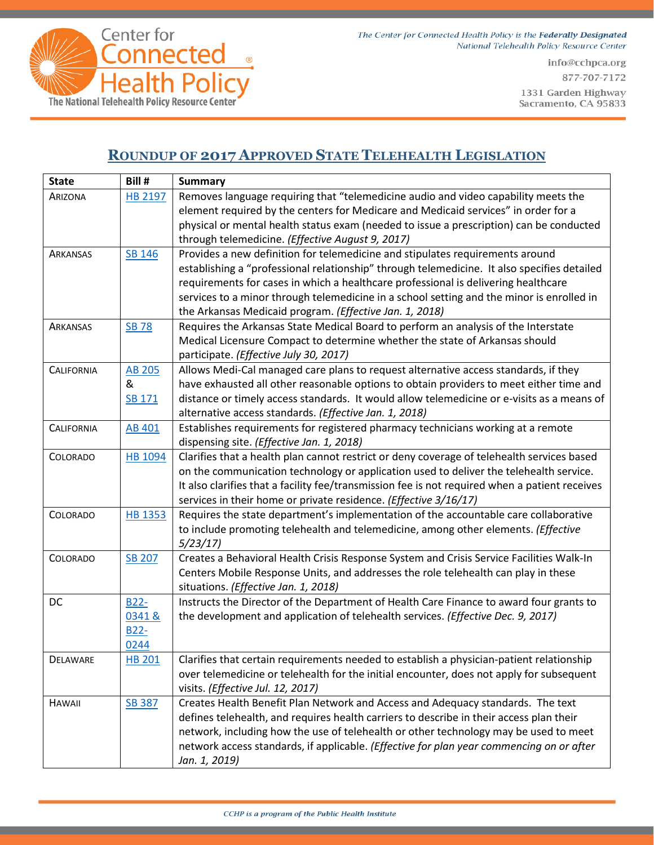



info@cchpca.org 877-707-7172 1331 Garden Highway Sacramento, CA 95833

## **ROUNDUP OF 2017 APPROVED STATE TELEHEALTH LEGISLATION**

| <b>State</b>      | Bill #         | <b>Summary</b>                                                                                 |
|-------------------|----------------|------------------------------------------------------------------------------------------------|
| ARIZONA           | <b>HB 2197</b> | Removes language requiring that "telemedicine audio and video capability meets the             |
|                   |                | element required by the centers for Medicare and Medicaid services" in order for a             |
|                   |                | physical or mental health status exam (needed to issue a prescription) can be conducted        |
|                   |                | through telemedicine. (Effective August 9, 2017)                                               |
| ARKANSAS          | SB 146         | Provides a new definition for telemedicine and stipulates requirements around                  |
|                   |                | establishing a "professional relationship" through telemedicine. It also specifies detailed    |
|                   |                | requirements for cases in which a healthcare professional is delivering healthcare             |
|                   |                | services to a minor through telemedicine in a school setting and the minor is enrolled in      |
|                   |                | the Arkansas Medicaid program. (Effective Jan. 1, 2018)                                        |
| <b>ARKANSAS</b>   | <b>SB 78</b>   | Requires the Arkansas State Medical Board to perform an analysis of the Interstate             |
|                   |                | Medical Licensure Compact to determine whether the state of Arkansas should                    |
|                   |                | participate. (Effective July 30, 2017)                                                         |
| <b>CALIFORNIA</b> | <b>AB 205</b>  | Allows Medi-Cal managed care plans to request alternative access standards, if they            |
|                   | &              | have exhausted all other reasonable options to obtain providers to meet either time and        |
|                   | SB 171         | distance or timely access standards. It would allow telemedicine or e-visits as a means of     |
|                   |                | alternative access standards. (Effective Jan. 1, 2018)                                         |
| <b>CALIFORNIA</b> | <b>AB 401</b>  | Establishes requirements for registered pharmacy technicians working at a remote               |
|                   |                | dispensing site. (Effective Jan. 1, 2018)                                                      |
| COLORADO          | HB 1094        | Clarifies that a health plan cannot restrict or deny coverage of telehealth services based     |
|                   |                | on the communication technology or application used to deliver the telehealth service.         |
|                   |                | It also clarifies that a facility fee/transmission fee is not required when a patient receives |
|                   |                | services in their home or private residence. (Effective 3/16/17)                               |
| COLORADO          | <b>HB 1353</b> | Requires the state department's implementation of the accountable care collaborative           |
|                   |                | to include promoting telehealth and telemedicine, among other elements. (Effective             |
|                   |                | 5/23/17                                                                                        |
| COLORADO          | <b>SB 207</b>  | Creates a Behavioral Health Crisis Response System and Crisis Service Facilities Walk-In       |
|                   |                | Centers Mobile Response Units, and addresses the role telehealth can play in these             |
|                   |                | situations. (Effective Jan. 1, 2018)                                                           |
| <b>DC</b>         | <b>B22-</b>    | Instructs the Director of the Department of Health Care Finance to award four grants to        |
|                   | 0341&          | the development and application of telehealth services. (Effective Dec. 9, 2017)               |
|                   | B22-           |                                                                                                |
|                   | 0244           |                                                                                                |
| DELAWARE          | <b>HB 201</b>  | Clarifies that certain requirements needed to establish a physician-patient relationship       |
|                   |                | over telemedicine or telehealth for the initial encounter, does not apply for subsequent       |
|                   |                | visits. (Effective Jul. 12, 2017)                                                              |
| <b>HAWAII</b>     | <b>SB 387</b>  | Creates Health Benefit Plan Network and Access and Adequacy standards. The text                |
|                   |                | defines telehealth, and requires health carriers to describe in their access plan their        |
|                   |                | network, including how the use of telehealth or other technology may be used to meet           |
|                   |                | network access standards, if applicable. (Effective for plan year commencing on or after       |
|                   |                | Jan. 1, 2019)                                                                                  |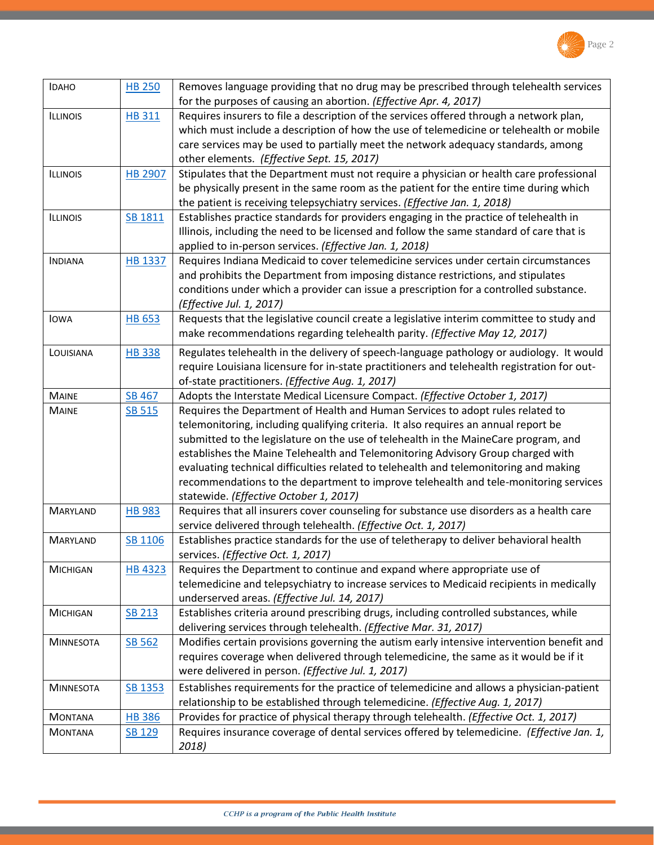

| <b>IDAHO</b>     | <b>HB 250</b>  | Removes language providing that no drug may be prescribed through telehealth services<br>for the purposes of causing an abortion. (Effective Apr. 4, 2017) |
|------------------|----------------|------------------------------------------------------------------------------------------------------------------------------------------------------------|
| <b>ILLINOIS</b>  | <b>HB 311</b>  | Requires insurers to file a description of the services offered through a network plan,                                                                    |
|                  |                | which must include a description of how the use of telemedicine or telehealth or mobile                                                                    |
|                  |                | care services may be used to partially meet the network adequacy standards, among                                                                          |
|                  |                | other elements. (Effective Sept. 15, 2017)                                                                                                                 |
| <b>ILLINOIS</b>  | <b>HB 2907</b> | Stipulates that the Department must not require a physician or health care professional                                                                    |
|                  |                | be physically present in the same room as the patient for the entire time during which                                                                     |
|                  |                | the patient is receiving telepsychiatry services. (Effective Jan. 1, 2018)                                                                                 |
| <b>ILLINOIS</b>  | SB 1811        | Establishes practice standards for providers engaging in the practice of telehealth in                                                                     |
|                  |                | Illinois, including the need to be licensed and follow the same standard of care that is                                                                   |
|                  |                | applied to in-person services. (Effective Jan. 1, 2018)                                                                                                    |
| <b>INDIANA</b>   | <b>HB 1337</b> | Requires Indiana Medicaid to cover telemedicine services under certain circumstances                                                                       |
|                  |                | and prohibits the Department from imposing distance restrictions, and stipulates                                                                           |
|                  |                | conditions under which a provider can issue a prescription for a controlled substance.                                                                     |
|                  |                | (Effective Jul. 1, 2017)                                                                                                                                   |
| <b>IOWA</b>      | HB 653         | Requests that the legislative council create a legislative interim committee to study and                                                                  |
|                  |                | make recommendations regarding telehealth parity. (Effective May 12, 2017)                                                                                 |
| LOUISIANA        | <b>HB338</b>   | Regulates telehealth in the delivery of speech-language pathology or audiology. It would                                                                   |
|                  |                | require Louisiana licensure for in-state practitioners and telehealth registration for out-                                                                |
|                  |                | of-state practitioners. (Effective Aug. 1, 2017)                                                                                                           |
| <b>MAINE</b>     | <b>SB 467</b>  | Adopts the Interstate Medical Licensure Compact. (Effective October 1, 2017)                                                                               |
| <b>MAINE</b>     | <b>SB 515</b>  | Requires the Department of Health and Human Services to adopt rules related to                                                                             |
|                  |                | telemonitoring, including qualifying criteria. It also requires an annual report be                                                                        |
|                  |                | submitted to the legislature on the use of telehealth in the MaineCare program, and                                                                        |
|                  |                | establishes the Maine Telehealth and Telemonitoring Advisory Group charged with                                                                            |
|                  |                | evaluating technical difficulties related to telehealth and telemonitoring and making                                                                      |
|                  |                | recommendations to the department to improve telehealth and tele-monitoring services                                                                       |
|                  |                | statewide. (Effective October 1, 2017)                                                                                                                     |
| <b>MARYLAND</b>  | <b>HB 983</b>  | Requires that all insurers cover counseling for substance use disorders as a health care                                                                   |
|                  |                | service delivered through telehealth. (Effective Oct. 1, 2017)                                                                                             |
| <b>MARYLAND</b>  | SB 1106        | Establishes practice standards for the use of teletherapy to deliver behavioral health                                                                     |
|                  |                | services. (Effective Oct. 1, 2017)                                                                                                                         |
| MICHIGAN         | <b>HB 4323</b> | Requires the Department to continue and expand where appropriate use of                                                                                    |
|                  |                | telemedicine and telepsychiatry to increase services to Medicaid recipients in medically                                                                   |
|                  |                | underserved areas. (Effective Jul. 14, 2017)                                                                                                               |
| <b>MICHIGAN</b>  | <b>SB 213</b>  | Establishes criteria around prescribing drugs, including controlled substances, while                                                                      |
|                  |                | delivering services through telehealth. (Effective Mar. 31, 2017)                                                                                          |
| <b>MINNESOTA</b> | SB 562         | Modifies certain provisions governing the autism early intensive intervention benefit and                                                                  |
|                  |                | requires coverage when delivered through telemedicine, the same as it would be if it                                                                       |
|                  |                | were delivered in person. (Effective Jul. 1, 2017)                                                                                                         |
| <b>MINNESOTA</b> | SB 1353        | Establishes requirements for the practice of telemedicine and allows a physician-patient                                                                   |
|                  |                | relationship to be established through telemedicine. (Effective Aug. 1, 2017)                                                                              |
| <b>MONTANA</b>   | <b>HB 386</b>  | Provides for practice of physical therapy through telehealth. (Effective Oct. 1, 2017)                                                                     |
| <b>MONTANA</b>   | SB 129         | Requires insurance coverage of dental services offered by telemedicine. (Effective Jan. 1,                                                                 |
|                  |                | 2018)                                                                                                                                                      |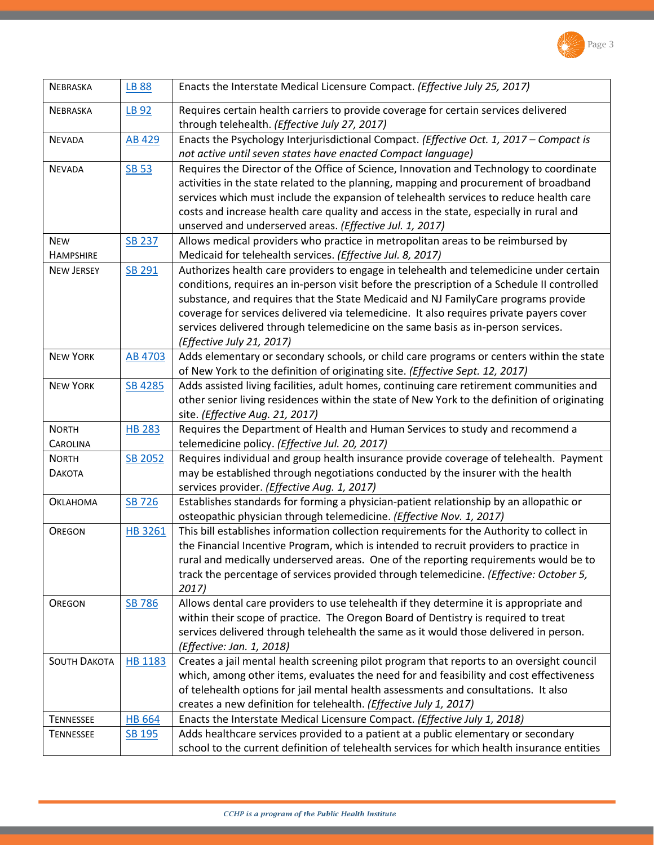

| <b>NEBRASKA</b>             | <b>LB 88</b>   | Enacts the Interstate Medical Licensure Compact. (Effective July 25, 2017)                                                                                                        |
|-----------------------------|----------------|-----------------------------------------------------------------------------------------------------------------------------------------------------------------------------------|
| <b>NEBRASKA</b>             | LB 92          | Requires certain health carriers to provide coverage for certain services delivered                                                                                               |
|                             |                | through telehealth. (Effective July 27, 2017)                                                                                                                                     |
| <b>NEVADA</b>               | <b>AB 429</b>  | Enacts the Psychology Interjurisdictional Compact. (Effective Oct. 1, 2017 - Compact is                                                                                           |
|                             |                | not active until seven states have enacted Compact language)                                                                                                                      |
| <b>NEVADA</b>               | <b>SB 53</b>   | Requires the Director of the Office of Science, Innovation and Technology to coordinate                                                                                           |
|                             |                | activities in the state related to the planning, mapping and procurement of broadband                                                                                             |
|                             |                | services which must include the expansion of telehealth services to reduce health care                                                                                            |
|                             |                | costs and increase health care quality and access in the state, especially in rural and                                                                                           |
|                             |                | unserved and underserved areas. (Effective Jul. 1, 2017)                                                                                                                          |
| <b>NEW</b>                  | <b>SB 237</b>  | Allows medical providers who practice in metropolitan areas to be reimbursed by                                                                                                   |
| <b>HAMPSHIRE</b>            |                | Medicaid for telehealth services. (Effective Jul. 8, 2017)                                                                                                                        |
| <b>NEW JERSEY</b>           | SB 291         | Authorizes health care providers to engage in telehealth and telemedicine under certain                                                                                           |
|                             |                | conditions, requires an in-person visit before the prescription of a Schedule II controlled                                                                                       |
|                             |                | substance, and requires that the State Medicaid and NJ FamilyCare programs provide                                                                                                |
|                             |                | coverage for services delivered via telemedicine. It also requires private payers cover                                                                                           |
|                             |                | services delivered through telemedicine on the same basis as in-person services.                                                                                                  |
| <b>NEW YORK</b>             | <b>AB 4703</b> | (Effective July 21, 2017)<br>Adds elementary or secondary schools, or child care programs or centers within the state                                                             |
|                             |                | of New York to the definition of originating site. (Effective Sept. 12, 2017)                                                                                                     |
| <b>NEW YORK</b>             | SB 4285        | Adds assisted living facilities, adult homes, continuing care retirement communities and                                                                                          |
|                             |                | other senior living residences within the state of New York to the definition of originating                                                                                      |
|                             |                | site. (Effective Aug. 21, 2017)                                                                                                                                                   |
| <b>NORTH</b>                | <b>HB 283</b>  | Requires the Department of Health and Human Services to study and recommend a                                                                                                     |
| <b>CAROLINA</b>             |                | telemedicine policy. (Effective Jul. 20, 2017)                                                                                                                                    |
| <b>NORTH</b>                | <b>SB 2052</b> | Requires individual and group health insurance provide coverage of telehealth. Payment                                                                                            |
| <b><i><u>DAKOTA</u></i></b> |                | may be established through negotiations conducted by the insurer with the health                                                                                                  |
|                             |                | services provider. (Effective Aug. 1, 2017)                                                                                                                                       |
| <b>Ок</b> с АНОМА           | SB 726         | Establishes standards for forming a physician-patient relationship by an allopathic or                                                                                            |
|                             |                | osteopathic physician through telemedicine. (Effective Nov. 1, 2017)                                                                                                              |
| <b>OREGON</b>               | HB 3261        | This bill establishes information collection requirements for the Authority to collect in                                                                                         |
|                             |                | the Financial Incentive Program, which is intended to recruit providers to practice in                                                                                            |
|                             |                | rural and medically underserved areas. One of the reporting requirements would be to                                                                                              |
|                             |                | track the percentage of services provided through telemedicine. (Effective: October 5,                                                                                            |
|                             |                | 2017)                                                                                                                                                                             |
| <b>OREGON</b>               | <b>SB 786</b>  | Allows dental care providers to use telehealth if they determine it is appropriate and                                                                                            |
|                             |                | within their scope of practice. The Oregon Board of Dentistry is required to treat                                                                                                |
|                             |                | services delivered through telehealth the same as it would those delivered in person.                                                                                             |
|                             |                | (Effective: Jan. 1, 2018)                                                                                                                                                         |
| <b>SOUTH DAKOTA</b>         | <b>HB 1183</b> | Creates a jail mental health screening pilot program that reports to an oversight council                                                                                         |
|                             |                | which, among other items, evaluates the need for and feasibility and cost effectiveness                                                                                           |
|                             |                | of telehealth options for jail mental health assessments and consultations. It also                                                                                               |
|                             |                | creates a new definition for telehealth. (Effective July 1, 2017)                                                                                                                 |
| <b>TENNESSEE</b>            | <b>HB 664</b>  | Enacts the Interstate Medical Licensure Compact. (Effective July 1, 2018)                                                                                                         |
| <b>TENNESSEE</b>            | SB 195         | Adds healthcare services provided to a patient at a public elementary or secondary<br>school to the current definition of telehealth services for which health insurance entities |
|                             |                |                                                                                                                                                                                   |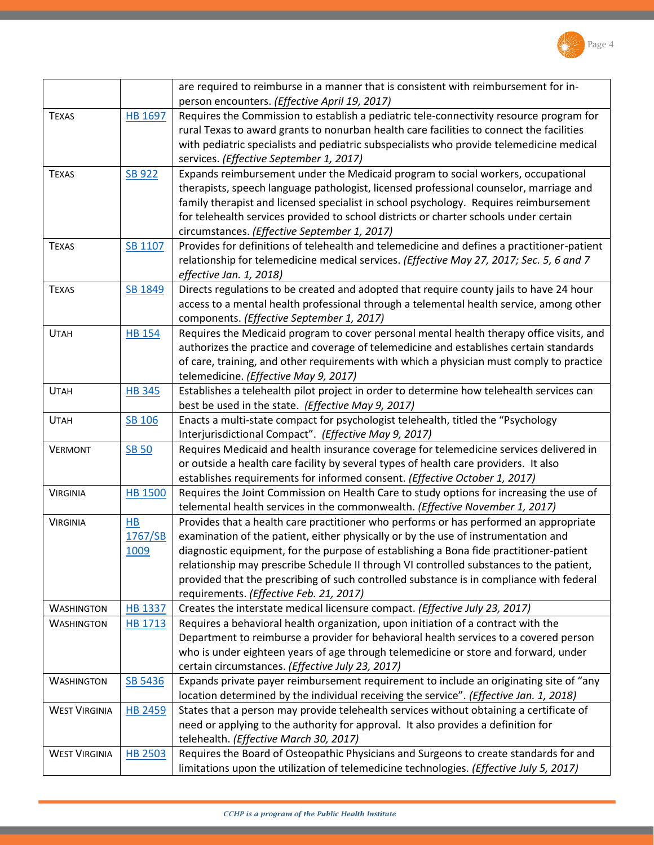

|                      |                | are required to reimburse in a manner that is consistent with reimbursement for in-        |
|----------------------|----------------|--------------------------------------------------------------------------------------------|
|                      |                | person encounters. (Effective April 19, 2017)                                              |
| <b>TEXAS</b>         | <b>HB 1697</b> | Requires the Commission to establish a pediatric tele-connectivity resource program for    |
|                      |                | rural Texas to award grants to nonurban health care facilities to connect the facilities   |
|                      |                | with pediatric specialists and pediatric subspecialists who provide telemedicine medical   |
|                      |                | services. (Effective September 1, 2017)                                                    |
| <b>TEXAS</b>         | <b>SB 922</b>  | Expands reimbursement under the Medicaid program to social workers, occupational           |
|                      |                | therapists, speech language pathologist, licensed professional counselor, marriage and     |
|                      |                | family therapist and licensed specialist in school psychology. Requires reimbursement      |
|                      |                | for telehealth services provided to school districts or charter schools under certain      |
|                      |                | circumstances. (Effective September 1, 2017)                                               |
| <b>TEXAS</b>         | SB 1107        | Provides for definitions of telehealth and telemedicine and defines a practitioner-patient |
|                      |                | relationship for telemedicine medical services. (Effective May 27, 2017; Sec. 5, 6 and 7   |
|                      |                | effective Jan. 1, 2018)                                                                    |
| <b>TEXAS</b>         | SB 1849        | Directs regulations to be created and adopted that require county jails to have 24 hour    |
|                      |                | access to a mental health professional through a telemental health service, among other    |
|                      |                | components. (Effective September 1, 2017)                                                  |
| <b>UTAH</b>          | <b>HB 154</b>  | Requires the Medicaid program to cover personal mental health therapy office visits, and   |
|                      |                | authorizes the practice and coverage of telemedicine and establishes certain standards     |
|                      |                | of care, training, and other requirements with which a physician must comply to practice   |
|                      |                | telemedicine. (Effective May 9, 2017)                                                      |
| <b>UTAH</b>          | <b>HB345</b>   | Establishes a telehealth pilot project in order to determine how telehealth services can   |
|                      |                | best be used in the state. (Effective May 9, 2017)                                         |
| <b>UTAH</b>          | SB 106         | Enacts a multi-state compact for psychologist telehealth, titled the "Psychology           |
|                      |                | Interjurisdictional Compact". (Effective May 9, 2017)                                      |
| <b>VERMONT</b>       | <b>SB 50</b>   | Requires Medicaid and health insurance coverage for telemedicine services delivered in     |
|                      |                | or outside a health care facility by several types of health care providers. It also       |
|                      |                | establishes requirements for informed consent. (Effective October 1, 2017)                 |
| <b>VIRGINIA</b>      | <b>HB 1500</b> | Requires the Joint Commission on Health Care to study options for increasing the use of    |
|                      |                | telemental health services in the commonwealth. (Effective November 1, 2017)               |
| <b>VIRGINIA</b>      | HB             | Provides that a health care practitioner who performs or has performed an appropriate      |
|                      | 1767/SB        | examination of the patient, either physically or by the use of instrumentation and         |
|                      | 1009           | diagnostic equipment, for the purpose of establishing a Bona fide practitioner-patient     |
|                      |                | relationship may prescribe Schedule II through VI controlled substances to the patient,    |
|                      |                | provided that the prescribing of such controlled substance is in compliance with federal   |
|                      |                | requirements. (Effective Feb. 21, 2017)                                                    |
| <b>WASHINGTON</b>    | <b>HB 1337</b> | Creates the interstate medical licensure compact. (Effective July 23, 2017)                |
| <b>WASHINGTON</b>    | HB 1713        | Requires a behavioral health organization, upon initiation of a contract with the          |
|                      |                | Department to reimburse a provider for behavioral health services to a covered person      |
|                      |                | who is under eighteen years of age through telemedicine or store and forward, under        |
|                      |                | certain circumstances. (Effective July 23, 2017)                                           |
| <b>WASHINGTON</b>    | SB 5436        | Expands private payer reimbursement requirement to include an originating site of "any     |
|                      |                | location determined by the individual receiving the service". (Effective Jan. 1, 2018)     |
| <b>WEST VIRGINIA</b> | <b>HB 2459</b> | States that a person may provide telehealth services without obtaining a certificate of    |
|                      |                | need or applying to the authority for approval. It also provides a definition for          |
|                      |                | telehealth. (Effective March 30, 2017)                                                     |
| <b>WEST VIRGINIA</b> | <b>HB 2503</b> | Requires the Board of Osteopathic Physicians and Surgeons to create standards for and      |
|                      |                | limitations upon the utilization of telemedicine technologies. (Effective July 5, 2017)    |